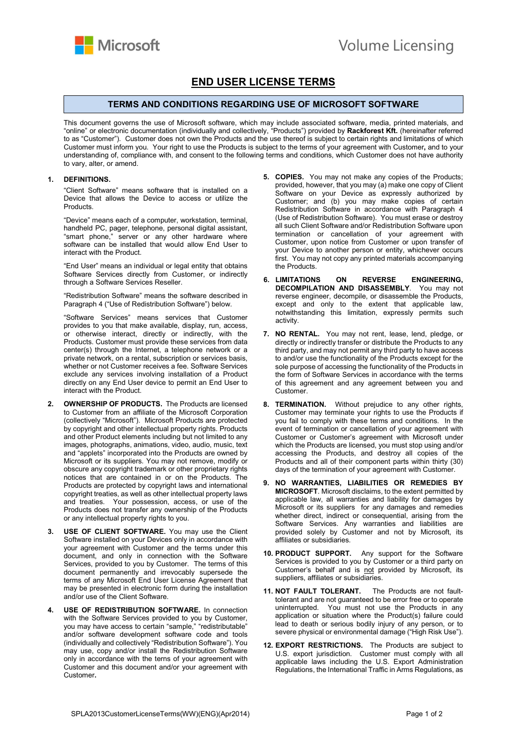

## END USER LICENSE TERMS

## TERMS AND CONDITIONS REGARDING USE OF MICROSOFT SOFTWARE

This document governs the use of Microsoft software, which may include associated software, media, printed materials, and "online" or electronic documentation (individually and collectively, "Products") provided by Rackforest Kft. (hereinafter referred to as "Customer"). Customer does not own the Products and the use thereof is subject to certain rights and limitations of which Customer must inform you. Your right to use the Products is subject to the terms of your agreement with Customer, and to your understanding of, compliance with, and consent to the following terms and conditions, which Customer does not have authority to vary, alter, or amend.

## 1. DEFINITIONS.

"Client Software" means software that is installed on a Device that allows the Device to access or utilize the Products.

"Device" means each of a computer, workstation, terminal, handheld PC, pager, telephone, personal digital assistant, "smart phone," server or any other hardware where software can be installed that would allow End User to interact with the Product.

"End User" means an individual or legal entity that obtains Software Services directly from Customer, or indirectly through a Software Services Reseller.

"Redistribution Software" means the software described in Paragraph 4 ("Use of Redistribution Software") below.

"Software Services" means services that Customer provides to you that make available, display, run, access, or otherwise interact, directly or indirectly, with the Products. Customer must provide these services from data center(s) through the Internet, a telephone network or a private network, on a rental, subscription or services basis, whether or not Customer receives a fee. Software Services exclude any services involving installation of a Product directly on any End User device to permit an End User to interact with the Product.

- 2. OWNERSHIP OF PRODUCTS. The Products are licensed to Customer from an affiliate of the Microsoft Corporation (collectively "Microsoft"). Microsoft Products are protected by copyright and other intellectual property rights. Products and other Product elements including but not limited to any images, photographs, animations, video, audio, music, text and "applets" incorporated into the Products are owned by Microsoft or its suppliers. You may not remove, modify or obscure any copyright trademark or other proprietary rights notices that are contained in or on the Products. The Products are protected by copyright laws and international copyright treaties, as well as other intellectual property laws and treaties. Your possession, access, or use of the Products does not transfer any ownership of the Products or any intellectual property rights to you.
- USE OF CLIENT SOFTWARE. You may use the Client Software installed on your Devices only in accordance with your agreement with Customer and the terms under this document, and only in connection with the Software Services, provided to you by Customer. The terms of this document permanently and irrevocably supersede the terms of any Microsoft End User License Agreement that may be presented in electronic form during the installation and/or use of the Client Software.
- USE OF REDISTRIBUTION SOFTWARE. In connection with the Software Services provided to you by Customer, you may have access to certain "sample," "redistributable" and/or software development software code and tools (individually and collectively "Redistribution Software"). You may use, copy and/or install the Redistribution Software only in accordance with the terns of your agreement with Customer and this document and/or your agreement with Customer.
- 5. COPIES. You may not make any copies of the Products; provided, however, that you may (a) make one copy of Client Software on your Device as expressly authorized by Customer; and (b) you may make copies of certain Redistribution Software in accordance with Paragraph 4 (Use of Redistribution Software). You must erase or destroy all such Client Software and/or Redistribution Software upon termination or cancellation of your agreement with Customer, upon notice from Customer or upon transfer of your Device to another person or entity, whichever occurs first. You may not copy any printed materials accompanying the Products.
- 6. LIMITATIONS ON REVERSE ENGINEERING, DECOMPILATION AND DISASSEMBLY. You may not reverse engineer, decompile, or disassemble the Products, except and only to the extent that applicable law, notwithstanding this limitation, expressly permits such activity.
- 7. NO RENTAL. You may not rent, lease, lend, pledge, or directly or indirectly transfer or distribute the Products to any third party, and may not permit any third party to have access to and/or use the functionality of the Products except for the sole purpose of accessing the functionality of the Products in the form of Software Services in accordance with the terms of this agreement and any agreement between you and Customer.
- 8. TERMINATION. Without prejudice to any other rights, Customer may terminate your rights to use the Products if you fail to comply with these terms and conditions. In the event of termination or cancellation of your agreement with Customer or Customer's agreement with Microsoft under which the Products are licensed, you must stop using and/or accessing the Products, and destroy all copies of the Products and all of their component parts within thirty (30) days of the termination of your agreement with Customer.
- 9. NO WARRANTIES, LIABILITIES OR REMEDIES BY MICROSOFT. Microsoft disclaims, to the extent permitted by applicable law, all warranties and liability for damages by Microsoft or its suppliers for any damages and remedies whether direct, indirect or consequential, arising from the Software Services. Any warranties and liabilities are provided solely by Customer and not by Microsoft, its affiliates or subsidiaries.
- 10. PRODUCT SUPPORT. Any support for the Software Services is provided to you by Customer or a third party on Customer's behalf and is not provided by Microsoft, its suppliers, affiliates or subsidiaries.
- 11. NOT FAULT TOLERANT. The Products are not faulttolerant and are not guaranteed to be error free or to operate uninterrupted. You must not use the Products in any application or situation where the Product(s) failure could lead to death or serious bodily injury of any person, or to severe physical or environmental damage ("High Risk Use").
- 12. EXPORT RESTRICTIONS. The Products are subject to U.S. export jurisdiction. Customer must comply with all applicable laws including the U.S. Export Administration Regulations, the International Traffic in Arms Regulations, as